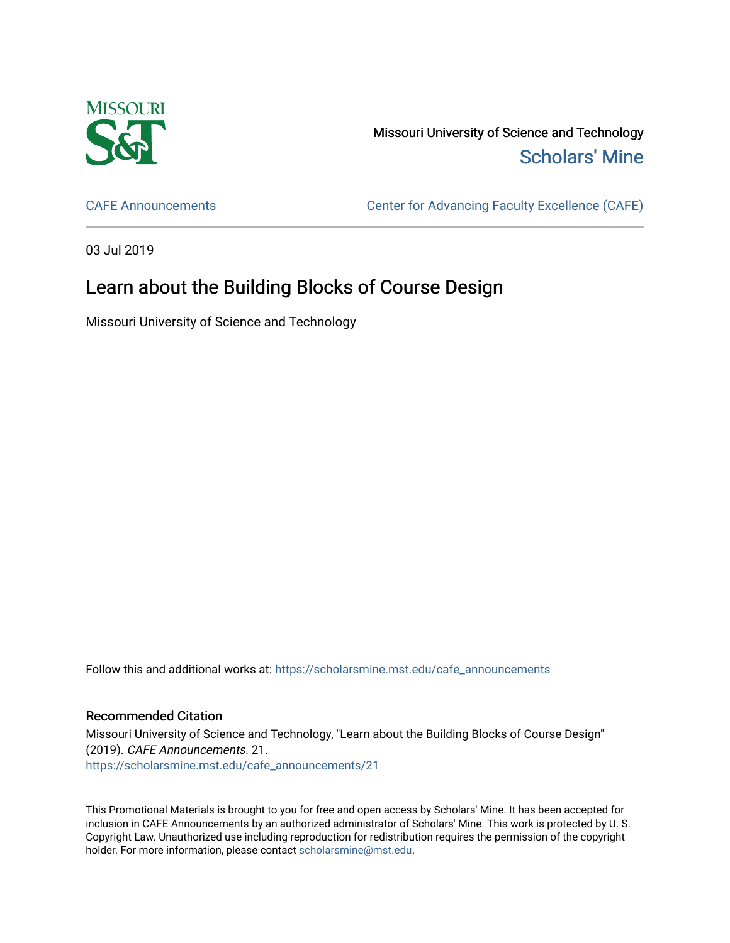

Missouri University of Science and Technology [Scholars' Mine](https://scholarsmine.mst.edu/) 

[CAFE Announcements](https://scholarsmine.mst.edu/cafe_announcements) [Center for Advancing Faculty Excellence \(CAFE\)](https://scholarsmine.mst.edu/cafe) 

03 Jul 2019

## Learn about the Building Blocks of Course Design

Missouri University of Science and Technology

Follow this and additional works at: [https://scholarsmine.mst.edu/cafe\\_announcements](https://scholarsmine.mst.edu/cafe_announcements?utm_source=scholarsmine.mst.edu%2Fcafe_announcements%2F21&utm_medium=PDF&utm_campaign=PDFCoverPages) 

## Recommended Citation

Missouri University of Science and Technology, "Learn about the Building Blocks of Course Design" (2019). CAFE Announcements. 21. [https://scholarsmine.mst.edu/cafe\\_announcements/21](https://scholarsmine.mst.edu/cafe_announcements/21?utm_source=scholarsmine.mst.edu%2Fcafe_announcements%2F21&utm_medium=PDF&utm_campaign=PDFCoverPages)

This Promotional Materials is brought to you for free and open access by Scholars' Mine. It has been accepted for inclusion in CAFE Announcements by an authorized administrator of Scholars' Mine. This work is protected by U. S. Copyright Law. Unauthorized use including reproduction for redistribution requires the permission of the copyright holder. For more information, please contact [scholarsmine@mst.edu.](mailto:scholarsmine@mst.edu)